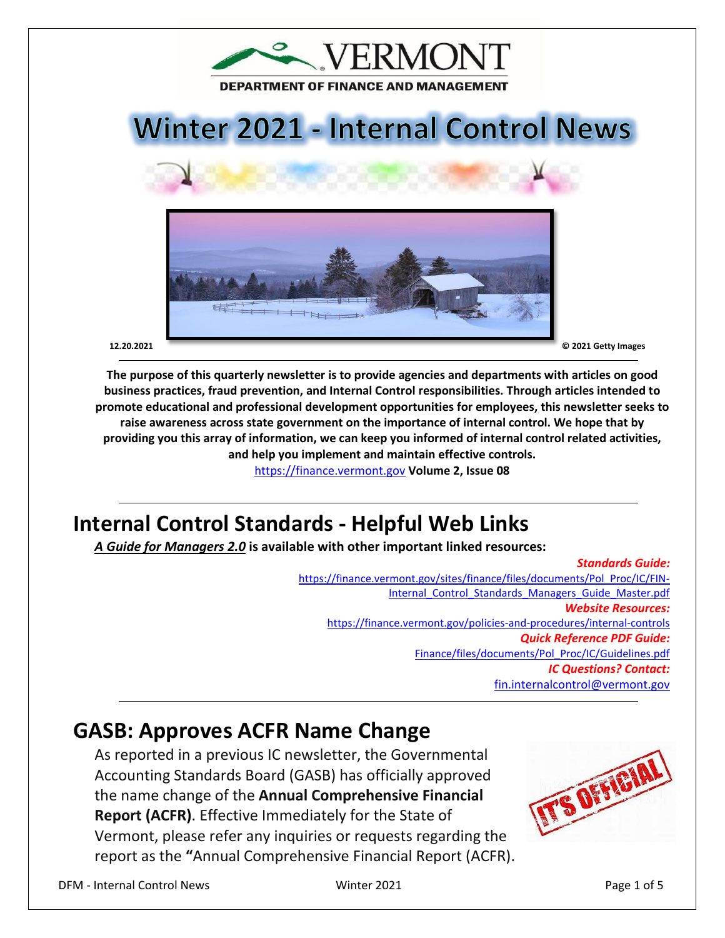

# **Winter 2021 - Internal Control News**





**The purpose of this quarterly newsletter is to provide agencies and departments with articles on good business practices, fraud prevention, and Internal Control responsibilities. Through articles intended to promote educational and professional development opportunities for employees, this newsletter seeks to raise awareness across state government on the importance of internal control. We hope that by providing you this array of information, we can keep you informed of internal control related activities, and help you implement and maintain effective controls.** 

[https://finance.vermont.gov](https://finance.vermont.gov/) **Volume 2, Issue 08**

# **Internal Control Standards - Helpful Web Links**

#### *A Guide for Managers 2.0* **is available with other important linked resources:**

#### *Standards Guide:* [https://finance.vermont.gov/sites/finance/files/documents/Pol\\_Proc/IC/FIN-](https://finance.vermont.gov/sites/finance/files/documents/Pol_Proc/IC/FIN-Internal_Control_Standards_Managers_Guide_Master.pdf)Internal Control Standards Managers Guide Master.pdf *Website Resources:*  <https://finance.vermont.gov/policies-and-procedures/internal-controls> *Quick Reference PDF Guide:*  [Finance/files/documents/Pol\\_Proc/IC/Guidelines.pdf](https://finance.vermont.gov/sites/finance/files/documents/Pol_Proc/IC/IC%20Guidelines.pdf) *IC Questions? Contact:* [fin.internalcontrol@vermont.gov](mailto:fin.internalcontrol@vermont.gov)

### **GASB: Approves ACFR Name Change**

As reported in a previous IC newsletter, the Governmental Accounting Standards Board (GASB) has officially approved the name change of the **Annual Comprehensive Financial Report (ACFR)**. Effective Immediately for the State of Vermont, please refer any inquiries or requests regarding the report as the **"**Annual Comprehensive Financial Report (ACFR).

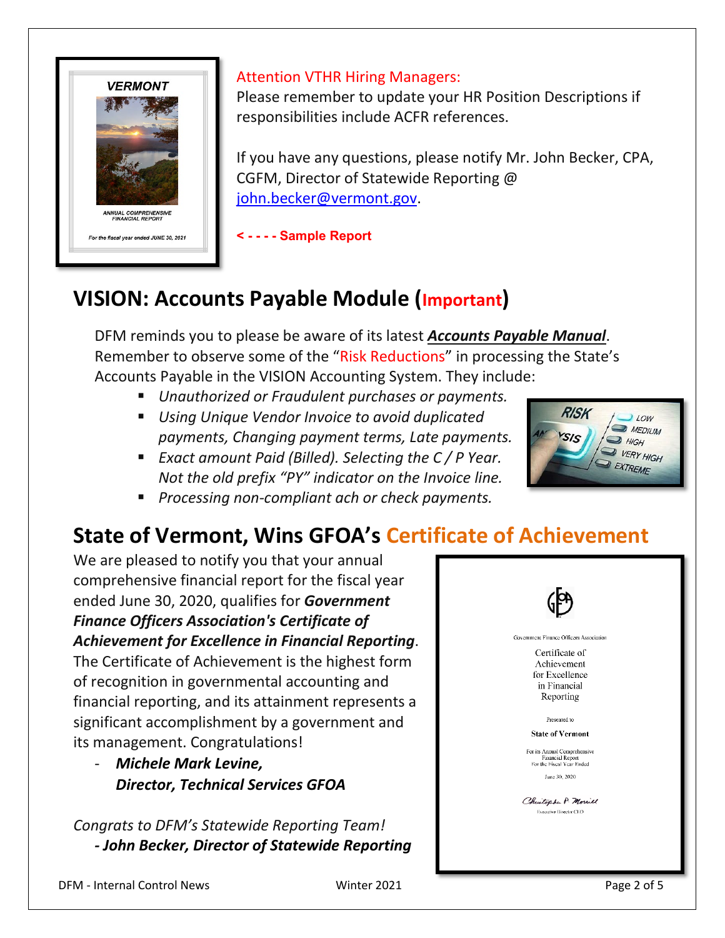

#### Attention VTHR Hiring Managers:

Please remember to update your HR Position Descriptions if responsibilities include ACFR references.

If you have any questions, please notify Mr. John Becker, CPA, CGFM, Director of Statewide Reporting @ [john.becker@vermont.gov.](mailto:John.Becker@vermont.gov)

**< - - - - Sample Report**

## **VISION: Accounts Payable Module (Important)**

DFM reminds you to please be aware of its latest *Accounts Payable Manual*. Remember to observe some of the "Risk Reductions" in processing the State's Accounts Payable in the VISION Accounting System. They include:

- *Unauthorized or Fraudulent purchases or payments.*
- *Using Unique Vendor Invoice to avoid duplicated payments, Changing payment terms, Late payments.*
- *Exact amount Paid (Billed). Selecting the C / P Year. Not the old prefix "PY" indicator on the Invoice line.*
- *Processing non-compliant ach or check payments.*

### **State of Vermont, Wins GFOA's Certificate of Achievement**

We are pleased to notify you that your annual comprehensive financial report for the fiscal year ended June 30, 2020, qualifies for *Government Finance Officers Association's Certificate of Achievement for Excellence in Financial Reporting*. The Certificate of Achievement is the highest form of recognition in governmental accounting and financial reporting, and its attainment represents a significant accomplishment by a government and its management. Congratulations!

- *Michele Mark Levine, Director, Technical Services GFOA*

*Congrats to DFM's Statewide Reporting Team! - John Becker, Director of Statewide Reporting*



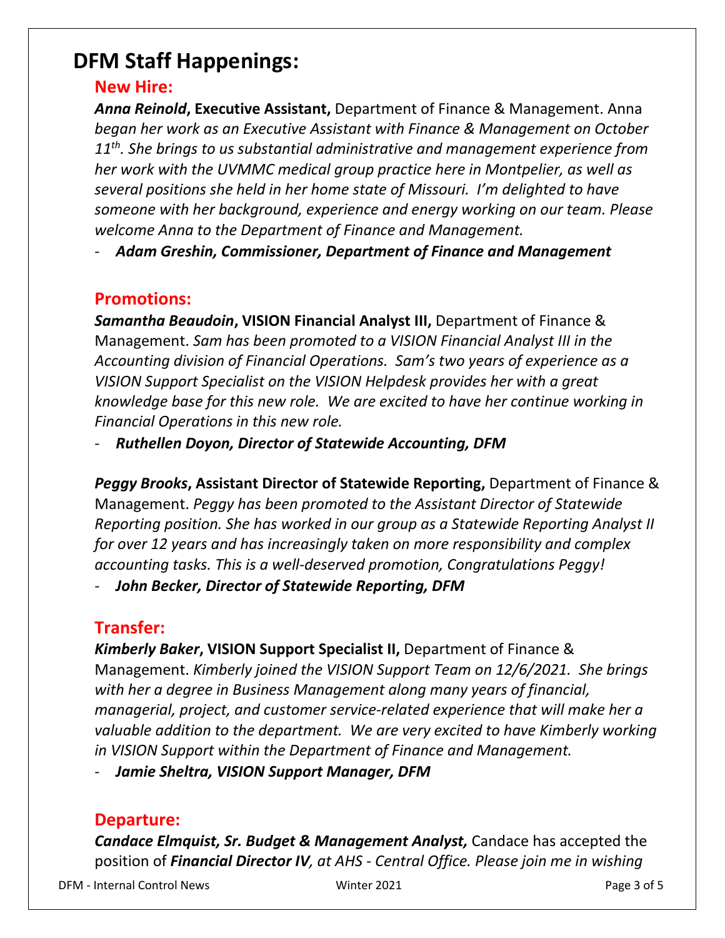### **DFM Staff Happenings:**

#### **New Hire:**

*Anna Reinold***, Executive Assistant,** Department of Finance & Management. Anna *began her work as an Executive Assistant with Finance & Management on October 11th. She brings to us substantial administrative and management experience from her work with the UVMMC medical group practice here in Montpelier, as well as several positions she held in her home state of Missouri. I'm delighted to have someone with her background, experience and energy working on our team. Please welcome Anna to the Department of Finance and Management.* 

- *Adam Greshin, Commissioner, Department of Finance and Management* 

### **Promotions:**

*Samantha Beaudoin***, VISION Financial Analyst III,** Department of Finance & Management. *Sam has been promoted to a VISION Financial Analyst III in the Accounting division of Financial Operations. Sam's two years of experience as a VISION Support Specialist on the VISION Helpdesk provides her with a great knowledge base for this new role. We are excited to have her continue working in Financial Operations in this new role.*

- *Ruthellen Doyon, Director of Statewide Accounting, DFM* 

*Peggy Brooks***, Assistant Director of Statewide Reporting,** Department of Finance & Management. *Peggy has been promoted to the Assistant Director of Statewide Reporting position. She has worked in our group as a Statewide Reporting Analyst II for over 12 years and has increasingly taken on more responsibility and complex accounting tasks. This is a well-deserved promotion, Congratulations Peggy!*

- *John Becker, Director of Statewide Reporting, DFM* 

### **Transfer:**

*Kimberly Baker***, VISION Support Specialist II,** Department of Finance & Management. *Kimberly joined the VISION Support Team on 12/6/2021. She brings with her a degree in Business Management along many years of financial, managerial, project, and customer service-related experience that will make her a valuable addition to the department. We are very excited to have Kimberly working in VISION Support within the Department of Finance and Management.*

- *Jamie Sheltra, VISION Support Manager, DFM* 

### **Departure:**

*Candace Elmquist, Sr. Budget & Management Analyst,* Candace has accepted the position of *Financial Director IV, at AHS - Central Office. Please join me in wishing* 

DFM - Internal Control News Winter 2021 Page 3 of 5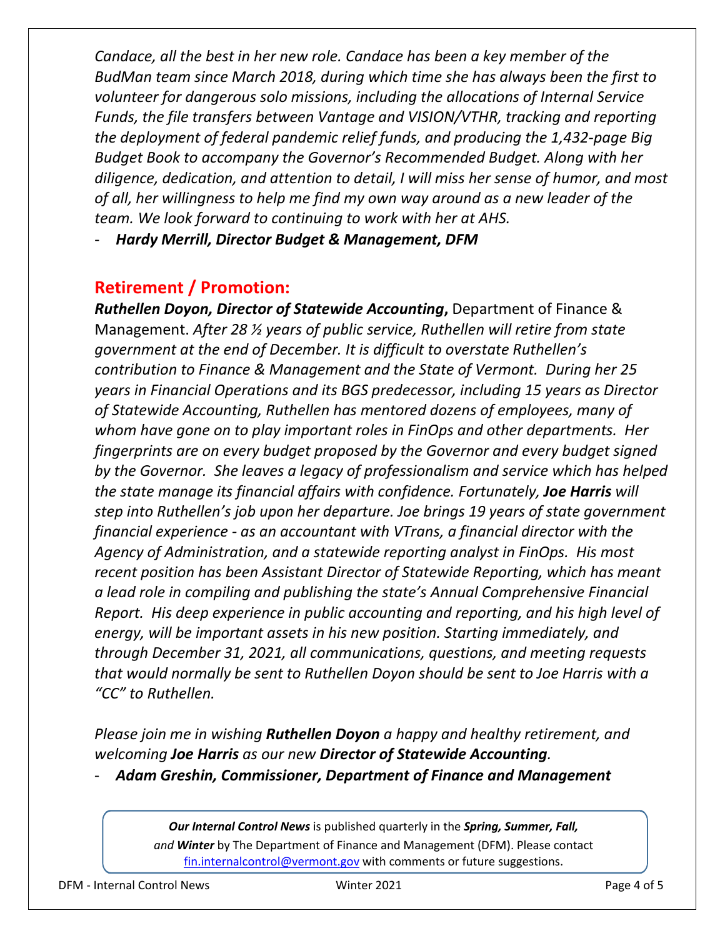*Candace, all the best in her new role. Candace has been a key member of the BudMan team since March 2018, during which time she has always been the first to volunteer for dangerous solo missions, including the allocations of Internal Service Funds, the file transfers between Vantage and VISION/VTHR, tracking and reporting the deployment of federal pandemic relief funds, and producing the 1,432-page Big Budget Book to accompany the Governor's Recommended Budget. Along with her diligence, dedication, and attention to detail, I will miss her sense of humor, and most of all, her willingness to help me find my own way around as a new leader of the team. We look forward to continuing to work with her at AHS.* 

- *Hardy Merrill, Director Budget & Management, DFM* 

### **Retirement / Promotion:**

**Ruthellen Doyon, Director of Statewide Accounting, Department of Finance &** Management. *After 28 ½ years of public service, Ruthellen will retire from state government at the end of December. It is difficult to overstate Ruthellen's contribution to Finance & Management and the State of Vermont. During her 25 years in Financial Operations and its BGS predecessor, including 15 years as Director of Statewide Accounting, Ruthellen has mentored dozens of employees, many of whom have gone on to play important roles in FinOps and other departments. Her fingerprints are on every budget proposed by the Governor and every budget signed by the Governor. She leaves a legacy of professionalism and service which has helped the state manage its financial affairs with confidence. Fortunately, Joe Harris will step into Ruthellen's job upon her departure. Joe brings 19 years of state government financial experience - as an accountant with VTrans, a financial director with the Agency of Administration, and a statewide reporting analyst in FinOps. His most recent position has been Assistant Director of Statewide Reporting, which has meant a lead role in compiling and publishing the state's Annual Comprehensive Financial Report. His deep experience in public accounting and reporting, and his high level of energy, will be important assets in his new position. Starting immediately, and through December 31, 2021, all communications, questions, and meeting requests that would normally be sent to Ruthellen Doyon should be sent to Joe Harris with a "CC" to Ruthellen.*

*Please join me in wishing Ruthellen Doyon a happy and healthy retirement, and welcoming Joe Harris as our new Director of Statewide Accounting.*

- *Adam Greshin, Commissioner, Department of Finance and Management* 

*Our Internal Control News* is published quarterly in the *Spring, Summer, Fall, and Winter* by The Department of Finance and Management (DFM). Please contact [fin.internalcontrol@vermont.gov](mailto:fin.internalcontrol@vermont.gov) with comments or future suggestions.

DFM - Internal Control News Winter 2021 Page 4 of 5